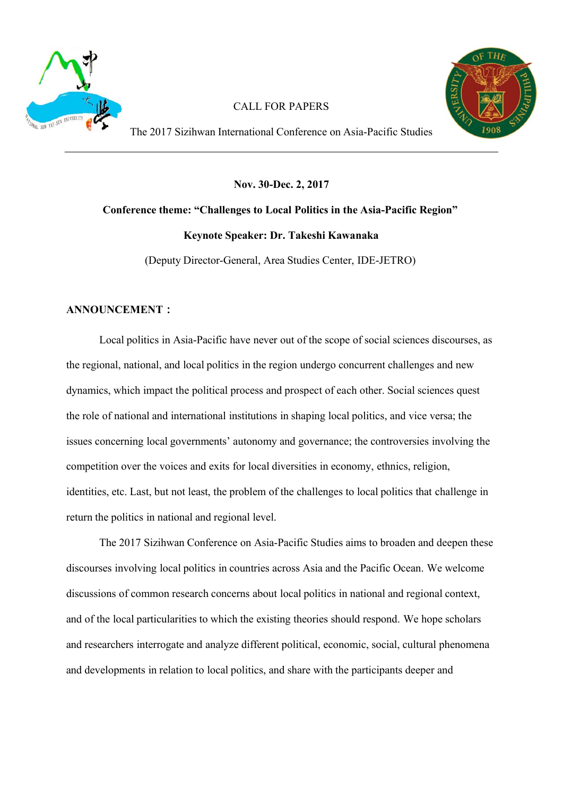

CALL FOR PAPERS



The 2017 Sizihwan International Conference on Asia-Pacific Studies

#### **Nov. 30-Dec. 2, 2017**

# **Conference theme: "Challenges to Local Politics in the Asia-Pacific Region" Keynote Speaker: Dr. Takeshi Kawanaka**

(Deputy Director-General, Area Studies Center, IDE-JETRO)

## **ANNOUNCEMENT:**

Local politics in Asia-Pacific have never out of the scope of social sciences discourses, as the regional, national, and local politics in the region undergo concurrent challenges and new dynamics, which impact the political process and prospect of each other. Social sciences quest the role of national and international institutions in shaping local politics, and vice versa; the issues concerning local governments' autonomy and governance; the controversies involving the competition over the voices and exits for local diversities in economy, ethnics, religion, identities, etc. Last, but not least, the problem of the challenges to local politics that challenge in return the politics in national and regional level.

The 2017 Sizihwan Conference on Asia-Pacific Studies aims to broaden and deepen these discourses involving local politics in countries across Asia and the Pacific Ocean. We welcome discussions of common research concerns about local politics in national and regional context, and of the local particularities to which the existing theories should respond. We hope scholars and researchers interrogate and analyze different political, economic, social, cultural phenomena and developments in relation to local politics, and share with the participants deeper and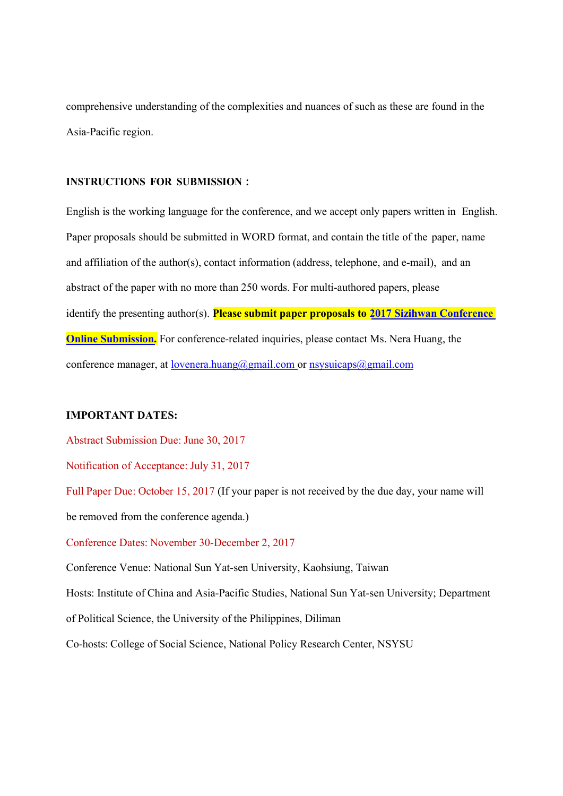comprehensive understanding of the complexities and nuances of such as these are found in the Asia-Pacific region.

#### **INSTRUCTIONS FOR SUBMISSION:**

English is the working language for the conference, and we accept only papers written in English. Paper proposals should be submitted in WORD format, and contain the title of the paper, name and affiliation of the author(s), contact information (address, telephone, and e-mail), and an abstract of the paper with no more than 250 words. For multi-authored papers, please identify the presenting author(s). **Please submit paper proposals to 2017 Sizihwan Conference Online Submission.** For conference-related inquiries, please contact Ms. Nera Huang, the conference manager, at lovenera.huang@gmail.com or nsysuicaps@gmail.com

#### **IMPORTANT DATES:**

Abstract Submission Due: June 30, 2017

Notification of Acceptance: July 31, 2017

Full Paper Due: October 15, 2017 (If your paper is not received by the due day, your name will be removed from the conference agenda.)

Conference Dates: November 30-December 2, 2017

Conference Venue: National Sun Yat-sen University, Kaohsiung, Taiwan

Hosts: Institute of China and Asia-Pacific Studies, National Sun Yat-sen University; Department

of Political Science, the University of the Philippines, Diliman

Co-hosts: College of Social Science, National Policy Research Center, NSYSU